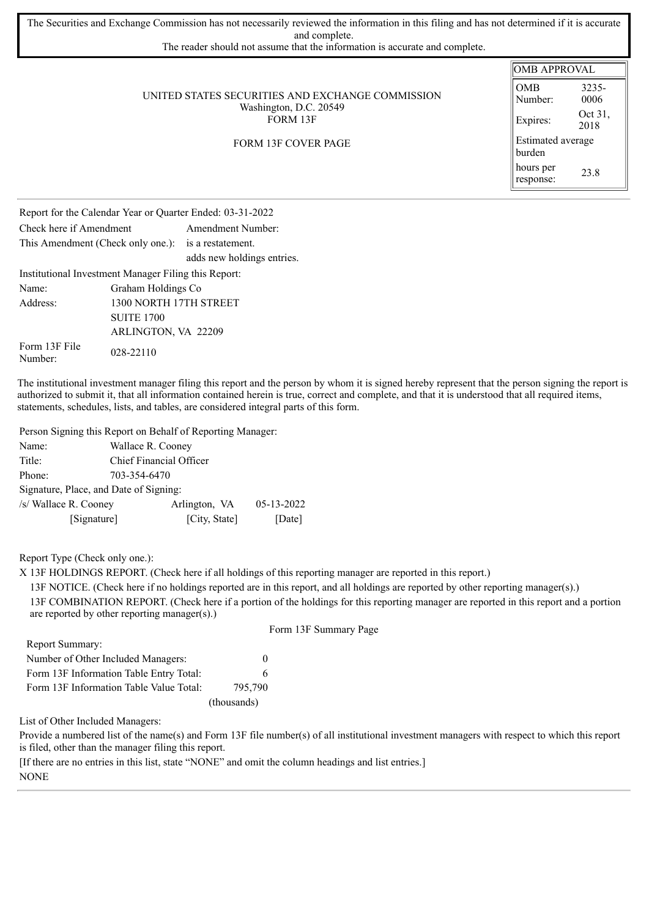| The Securities and Exchange Commission has not necessarily reviewed the information in this filing and has not determined if it is accurate<br>and complete.<br>The reader should not assume that the information is accurate and complete. |                     |                             |  |  |
|---------------------------------------------------------------------------------------------------------------------------------------------------------------------------------------------------------------------------------------------|---------------------|-----------------------------|--|--|
|                                                                                                                                                                                                                                             |                     |                             |  |  |
|                                                                                                                                                                                                                                             | <b>OMB APPROVAL</b> |                             |  |  |
|                                                                                                                                                                                                                                             | OMB                 | $3235 -$                    |  |  |
| UNITED STATES SECURITIES AND EXCHANGE COMMISSION                                                                                                                                                                                            | Number:             | 0006                        |  |  |
| Washington, D.C. 20549                                                                                                                                                                                                                      |                     | $\sim$ $\sim$ $\sim$ $\sim$ |  |  |

|  | FORM 13F            |  |
|--|---------------------|--|
|  | FORM 13F COVER PAGE |  |

| OMB                         | 3235-           |
|-----------------------------|-----------------|
| Number:                     | 0006            |
| Expires:                    | Oct 31,<br>2018 |
| Estimated average<br>burden |                 |
| hours per<br>response:      | 23.8            |

Report for the Calendar Year or Quarter Ended: 03-31-2022 Check here if Amendment Amendment Number: This Amendment (Check only one.): is a restatement. adds new holdings entries. Institutional Investment Manager Filing this Report: Name: Graham Holdings Co Address: 1300 NORTH 17TH STREET SUITE 1700 ARLINGTON, VA 22209 Form 13F File Form 15F File<br>Number: 028-22110

The institutional investment manager filing this report and the person by whom it is signed hereby represent that the person signing the report is authorized to submit it, that all information contained herein is true, correct and complete, and that it is understood that all required items, statements, schedules, lists, and tables, are considered integral parts of this form.

Person Signing this Report on Behalf of Reporting Manager:

| Name:                                  | Wallace R. Cooney              |               |                  |  |  |  |  |
|----------------------------------------|--------------------------------|---------------|------------------|--|--|--|--|
| Title:                                 | <b>Chief Financial Officer</b> |               |                  |  |  |  |  |
| Phone:                                 |                                | 703-354-6470  |                  |  |  |  |  |
| Signature, Place, and Date of Signing: |                                |               |                  |  |  |  |  |
| /s/ Wallace R. Cooney                  |                                | Arlington, VA | $05 - 13 - 2022$ |  |  |  |  |
| [Signature]                            |                                | [City, State] | [Date]           |  |  |  |  |

Report Type (Check only one.):

X 13F HOLDINGS REPORT. (Check here if all holdings of this reporting manager are reported in this report.)

13F NOTICE. (Check here if no holdings reported are in this report, and all holdings are reported by other reporting manager(s).) 13F COMBINATION REPORT. (Check here if a portion of the holdings for this reporting manager are reported in this report and a portion are reported by other reporting manager(s).)

|                                         | Form 13F Summary Page |  |
|-----------------------------------------|-----------------------|--|
| Report Summary:                         |                       |  |
| Number of Other Included Managers:      | $\theta$              |  |
| Form 13F Information Table Entry Total: |                       |  |
| Form 13F Information Table Value Total: | 795.790               |  |
|                                         | (thousands)           |  |

List of Other Included Managers:

Provide a numbered list of the name(s) and Form 13F file number(s) of all institutional investment managers with respect to which this report is filed, other than the manager filing this report.

[If there are no entries in this list, state "NONE" and omit the column headings and list entries.] **NONE**